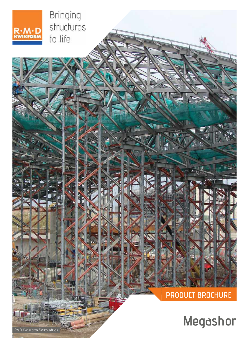

Bringing structures to life

**PRODUCT BROCHURE**

**Megashor**

RMD Kwikform South Africa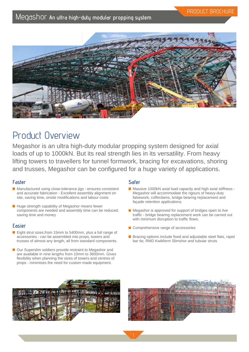

## Product Overview

Megashor is an ultra high-duty modular propping system designed for axial loads of up to 1000kN. But its real strength lies in its versatility. From heavy lifting towers to travellers for tunnel formwork, bracing for excavations, shoring and trusses, Megashor can be configured for a huge variety of applications.

## **Faster**

- Manufactured using close-tolerance jigs ensures consistent and accurate fabrication - Excellent assembly alignment on site, saving time, onsite modifications and labour costs
- $\blacksquare$  Huge strength capability of Megashor means fewer components are needed and assembly time can be reduced, saving time and money

### **Easier**

- Eight strut sizes, from 15mm to 5400mm, plus a full range of accessories - can be assembled into props, towers and trusses of almost any length, all from standard components.
- Our Superslim soldiers provide restraint to Megashor and are available in nine lengths from 10mm to 3600mm. Gives flexibility when planning the sizes of towers and centres of props - minimises the need for custom made equipment.

## **Safer**

- Massive 1000kN axial load capacity and high axial stiffness -Megashor will accommodate the rigours of heavy-duty falsework, cofferdams, bridge bearing replacement and façade retention applications.
- $\blacksquare$  Megashor is approved for support of bridges open to live traffic - bridge bearing replacement work can be carried out with minimum disruption to traffic flows.
- Comprehensive range of accessories
- **Bracing options include fixed and adjustable steel flats, rapid** bar tie, RMD Kwikform Slimshor and tubular struts



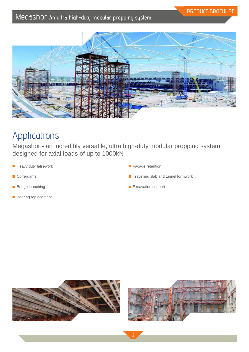

# Applications

Megashor - an incredibly versatile, ultra high-duty modular propping system designed for axial loads of up to 1000kN

- **Heavy duty falsework**
- Cofferdams
- **Bridge launching**
- **Bearing replacement**
- **Facade retention**
- $\blacksquare$  Travelling slab and tunnel formwork
- Excavation support



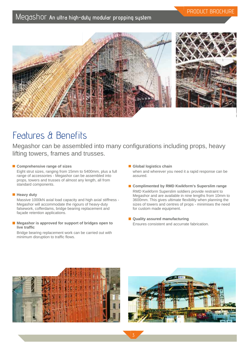



# Features & Benefits

Megashor can be assembled into many configurations including props, heavy lifting towers, frames and trusses.

### ■ Comprehensive range of sizes

Eight strut sizes, ranging from 15mm to 5400mm, plus a full range of accessories - Megashor can be assembled into props, towers and trusses of almost any length, all from standard components.

### **Heavy duty**

Massive 1000kN axial load capacity and high axial stiffness - Megashor will accommodate the rigours of heavy-duty falsework, cofferdams, bridge bearing replacement and façade retention applications.

### ■ Megashor is approved for support of bridges open to **live traffic**

Bridge bearing replacement work can be carried out with minimum disruption to traffic flows.

- **Global logistics chain** when and wherever you need it a rapid response can be assured.
- Complimented by RMD Kwikform's Superslim range RMD Kwikform Superslim soldiers provide restraint to Megashor and are available in nine lengths from 10mm to 3600mm. This gives ultimate flexibility when planning the sizes of towers and centres of props - minimises the need for custom made equipment.
- Quality assured manufacturing Ensures consistent and accurrate fabrication.



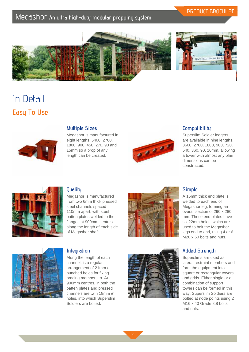## PRODUCT BROCHURE



# In Detail **Easy To Use**



### **Multiple Sizes**

Megashor is manufactured in eight lengths, 5400, 2700, 1800, 900, 450, 270, 90 and 15mm so a prop of any length can be created.



## **Compatibility**

Superslim Soldier ledgers are available in nine lengths, 3600, 2700, 1800, 900, 720, 540, 360, 90, 10mm. allowing a tower with almost any plan dimensions can be constructed.



## **Quality**

**Integration**

Megashor is manufactured from two 6mm thick pressed steel channels spaced 110mm apart, with steel batten plates welded to the flanges at 900mm centres along the length of each side of Megashor shaft.





Along the length of each channel, is a regular arrangement of 21mm ø punched holes for fixing bracing members to. At 900mm centres, in both the batten plates and pressed channels are twin 18mm ø holes, into which Superslim Soldiers are bolted.



### **Simple**

A 15mm thick end plate is welded to each end of Megashor leg, forming an overall section of 290 x 280 mm. These end plates have six 22mm holes, which are used to bolt the Megashor legs end to end, using 4 or 6 M<sub>20</sub> x 60 bolts and nuts.

## **Added Strength**

Superslims are used as lateral restraint members and form the equipment into square or rectangular towers and grids. Either single or a combination of support towers can be formed in this way. Superslim Soldiers are bolted at node points using 2 M16 x 40 Grade 8.8 bolts and nuts.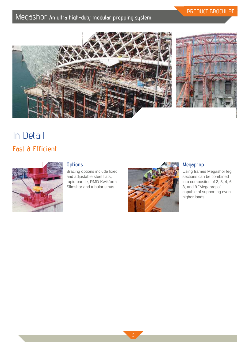

PRODUCT BROCHURE

# In Detail **Fast & Efficient**



## **Options**

Bracing options include fixed and adjustable steel flats, rapid bar tie, RMD Kwikform Slimshor and tubular struts.



## **Megaprop**

Using frames Megashor leg sections can be combined into composites of 2, 3, 4, 6, 8, and 9 "Megaprops" capable of supporting even higher loads.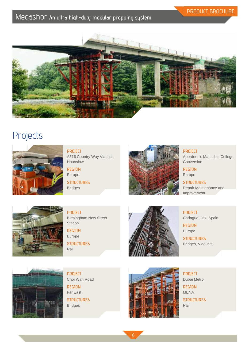

## **Projects**



**PROJECT** A316 Country Way Viaduct, Hounslow

**REGION** Europe

**STRUCTURES** Bridges



**PROJECT**

Aberdeen's Marischal College Conversion

PRODUCT BROCHURE

**REGION** Europe

**STRUCTURES** Repair Maintenance and Improvement



**PROJECT** Birmingham New Street **Station** 

**REGION** Europe **STRUCTURES**

Rail



**PROJECT** Cadagua Link, Spain

**REGION** Europe

**STRUCTURES** Bridges, Viaducts



**PROJECT** Choi Wan Road

Far East **STRUCTURES** Bridges

**REGION**



**PROJECT** Dubai Metro

**REGION** MENA

**STRUCTURES** Rail

6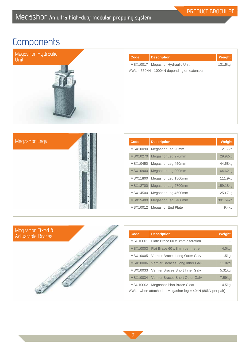# **Components**



| Code | <b>Description</b>                          | Weight  |
|------|---------------------------------------------|---------|
|      | MSX10017 Megashor Hydraulic Unit            | 131.5kg |
|      | AWL = 550kN - 1000kN depending on extension |         |
|      |                                             |         |
|      |                                             |         |
|      |                                             |         |
|      |                                             |         |
|      |                                             |         |
|      |                                             |         |
|      |                                             |         |
|      |                                             |         |

|          | Code | <b>Description</b>           | Weight            |
|----------|------|------------------------------|-------------------|
| MSX10090 |      | Megashor Leg 90mm            | 21.7kg            |
|          |      | MSX10270 Megashor Leg 270mm  | 29.92kg           |
|          |      | MSX10450 Megashor Leg 450mm  | 44.58kg           |
|          |      | MSX10900 Megashor Leg 900mm  | 64.62kg           |
|          |      | MSX11800 Megashor Leg 1800mm | 111.9kg           |
|          |      | MSX12700 Megashor Leg 2700mm | 159.18kg          |
| MSX14500 |      | Megashor Leg 4500mm          | 253.7kg           |
|          |      | MSX15400 Megashor Leg 5400mm | 301.54kg          |
|          |      | MSX10012 Megashor End Plate  | 9.4 <sub>kq</sub> |



| Code                                                         | <b>Description</b>                         | Weight             |
|--------------------------------------------------------------|--------------------------------------------|--------------------|
|                                                              | MSU10001 Flate Brace 60 x 8mm alteration   |                    |
|                                                              | MSX10003 Flat Brace 60 x 8mm per metre     | 4.0 <sub>kq</sub>  |
|                                                              | MSX10005 Vernier Braces Long Outer Galv    | 11.5kg             |
|                                                              | MSX10006   Vernier Baraces Long Inner Galv | 11.0 <sub>kg</sub> |
|                                                              | MSX10033 Vernier Braces Short Inner Galv   | 5.31kg             |
|                                                              | MSX10034 Vernier Braces Short Outer Galv   | 7.59 <sub>kg</sub> |
|                                                              | MSU10003 Megashor Plan Brace Cleat         | 14.5kg             |
| AWL - when attached to Megashor $leq = 40kN$ (80kN per pair) |                                            |                    |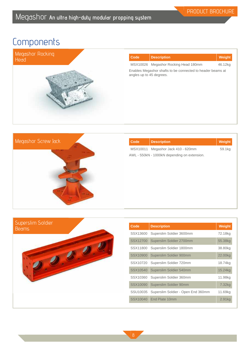# **Components**



| Code                     | <b>Description</b>                                         | Weight  |
|--------------------------|------------------------------------------------------------|---------|
|                          | MSX10026 Megashor Rocking Head 180mm                       | 46.12kg |
| angles up to 45 degrees. | Enables Megashor shafts to be connected to header beams at |         |
|                          |                                                            |         |
|                          |                                                            |         |
|                          |                                                            |         |



| Code     | <b>Description</b>                                                        | Weight |
|----------|---------------------------------------------------------------------------|--------|
| MSX10011 | Megashor Jack 410 - 620mm<br>AWL - 550kN - 1000kN depending on extension. | 59.1kg |
|          |                                                                           |        |



| Code     | <b>Description</b>                 | <b>Weight</b> |
|----------|------------------------------------|---------------|
| SSX13600 | Superslim Soldier 3600mm           | 72.18kg       |
| SSX12700 | Superslim Soldier 2700mm           | 55.38kg       |
| SSX11800 | Superslim Soldier 1800mm           | 38.80kg       |
| SSX10900 | Superslim Soldier 900mm            | 22.00kg       |
| SSX10720 | Superslim Soldier 720mm            | 18.74kg       |
| SSX10540 | Superslim Soldier 540mm            | 15.24kg       |
| SSX10360 | Superslim Soldier 360mm            | 11.98kg       |
| SSX10090 | Superslim Soldier 90mm             | 7.32kg        |
| SSU10035 | Superslim Soldier - Open End 360mm | 11.69kg       |
| SSX10040 | End Plate 10mm                     | 2.91kg        |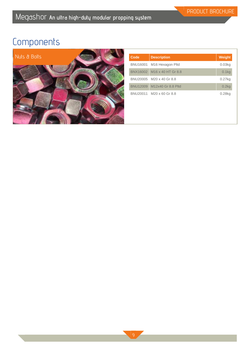# **Components**



| Code     | <b>Description</b>          | <b>Weight</b>     |
|----------|-----------------------------|-------------------|
|          | BNU16001 M16 Hexagon Pltd   | 0.03kg            |
|          | BNX16002 M16 x 40 HT Gr 8.8 | 0.1 <sub>kg</sub> |
|          | BNU20005 M20 x 40 Gr 8.8    | $0.27$ kg         |
| BNU12009 | M12x40 Gr 8.8 Pltd          | 0.2kg             |
|          | BNU20011 M20 x 60 Gr 8.8    | $0.28$ kg         |
|          |                             |                   |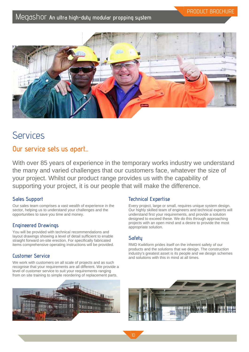

## Services

## **Our service sets us apart...**

With over 85 years of experience in the temporary works industry we understand the many and varied challenges that our customers face, whatever the size of your project. Whilst our product range provides us with the capability of supporting your project, it is our people that will make the difference.

## **Sales Support**

Our sales team comprises a vast wealth of experience in the sector, helping us to understand your challenges and the opportunities to save you time and money.

## **Engineered Drawings**

You will be provided with technical recommendations and layout drawings showing a level of detail sufficient to enable straight forward on-site erection. For specifically fabricated items comprehensive operating instructions will be provided.

## **Customer Service**

We work with customers on all scale of projects and as such recognise that your requirements are all different. We provide a level of customer service to suit your requirements ranging from on site training to simple reordering of replacement parts.



## **Technical Expertise**

Every project, large or small, requires unique system design. Our highly skilled team of engineers and technical experts will understand first your requirements, and provide a solution designed to exceed these. We do this through approaching projects with an open mind and a desire to provide the most appropriate solution.

## **Safety**

RMD Kwikform prides itself on the inherent safety of our products and the solutions that we design. The construction industry's greatest asset is its people and we design schemes and solutions with this in mind at all times.